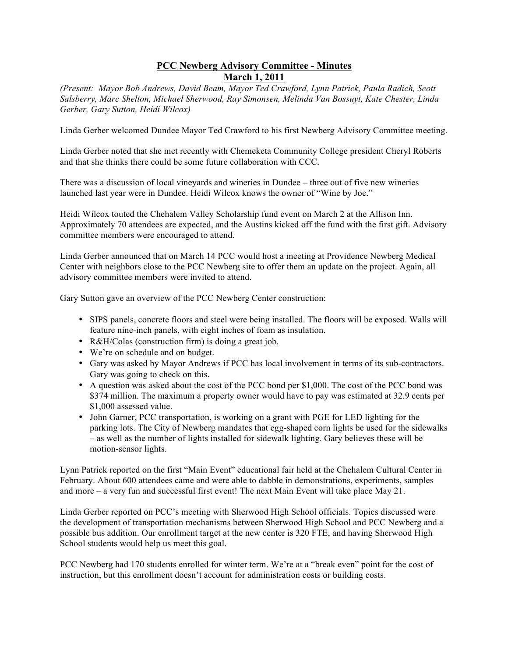## **PCC Newberg Advisory Committee - Minutes March 1, 2011**

*(Present: Mayor Bob Andrews, David Beam, Mayor Ted Crawford, Lynn Patrick, Paula Radich, Scott Salsberry, Marc Shelton, Michael Sherwood, Ray Simonsen, Melinda Van Bossuyt, Kate Chester, Linda Gerber, Gary Sutton, Heidi Wilcox)*

Linda Gerber welcomed Dundee Mayor Ted Crawford to his first Newberg Advisory Committee meeting.

Linda Gerber noted that she met recently with Chemeketa Community College president Cheryl Roberts and that she thinks there could be some future collaboration with CCC.

There was a discussion of local vineyards and wineries in Dundee – three out of five new wineries launched last year were in Dundee. Heidi Wilcox knows the owner of "Wine by Joe."

Heidi Wilcox touted the Chehalem Valley Scholarship fund event on March 2 at the Allison Inn. Approximately 70 attendees are expected, and the Austins kicked off the fund with the first gift. Advisory committee members were encouraged to attend.

Linda Gerber announced that on March 14 PCC would host a meeting at Providence Newberg Medical Center with neighbors close to the PCC Newberg site to offer them an update on the project. Again, all advisory committee members were invited to attend.

Gary Sutton gave an overview of the PCC Newberg Center construction:

- SIPS panels, concrete floors and steel were being installed. The floors will be exposed. Walls will feature nine-inch panels, with eight inches of foam as insulation.
- R&H/Colas (construction firm) is doing a great job.
- We're on schedule and on budget.
- Gary was asked by Mayor Andrews if PCC has local involvement in terms of its sub-contractors. Gary was going to check on this.
- A question was asked about the cost of the PCC bond per \$1,000. The cost of the PCC bond was \$374 million. The maximum a property owner would have to pay was estimated at 32.9 cents per \$1,000 assessed value.
- John Garner, PCC transportation, is working on a grant with PGE for LED lighting for the parking lots. The City of Newberg mandates that egg-shaped corn lights be used for the sidewalks – as well as the number of lights installed for sidewalk lighting. Gary believes these will be motion-sensor lights.

Lynn Patrick reported on the first "Main Event" educational fair held at the Chehalem Cultural Center in February. About 600 attendees came and were able to dabble in demonstrations, experiments, samples and more – a very fun and successful first event! The next Main Event will take place May 21.

Linda Gerber reported on PCC's meeting with Sherwood High School officials. Topics discussed were the development of transportation mechanisms between Sherwood High School and PCC Newberg and a possible bus addition. Our enrollment target at the new center is 320 FTE, and having Sherwood High School students would help us meet this goal.

PCC Newberg had 170 students enrolled for winter term. We're at a "break even" point for the cost of instruction, but this enrollment doesn't account for administration costs or building costs.